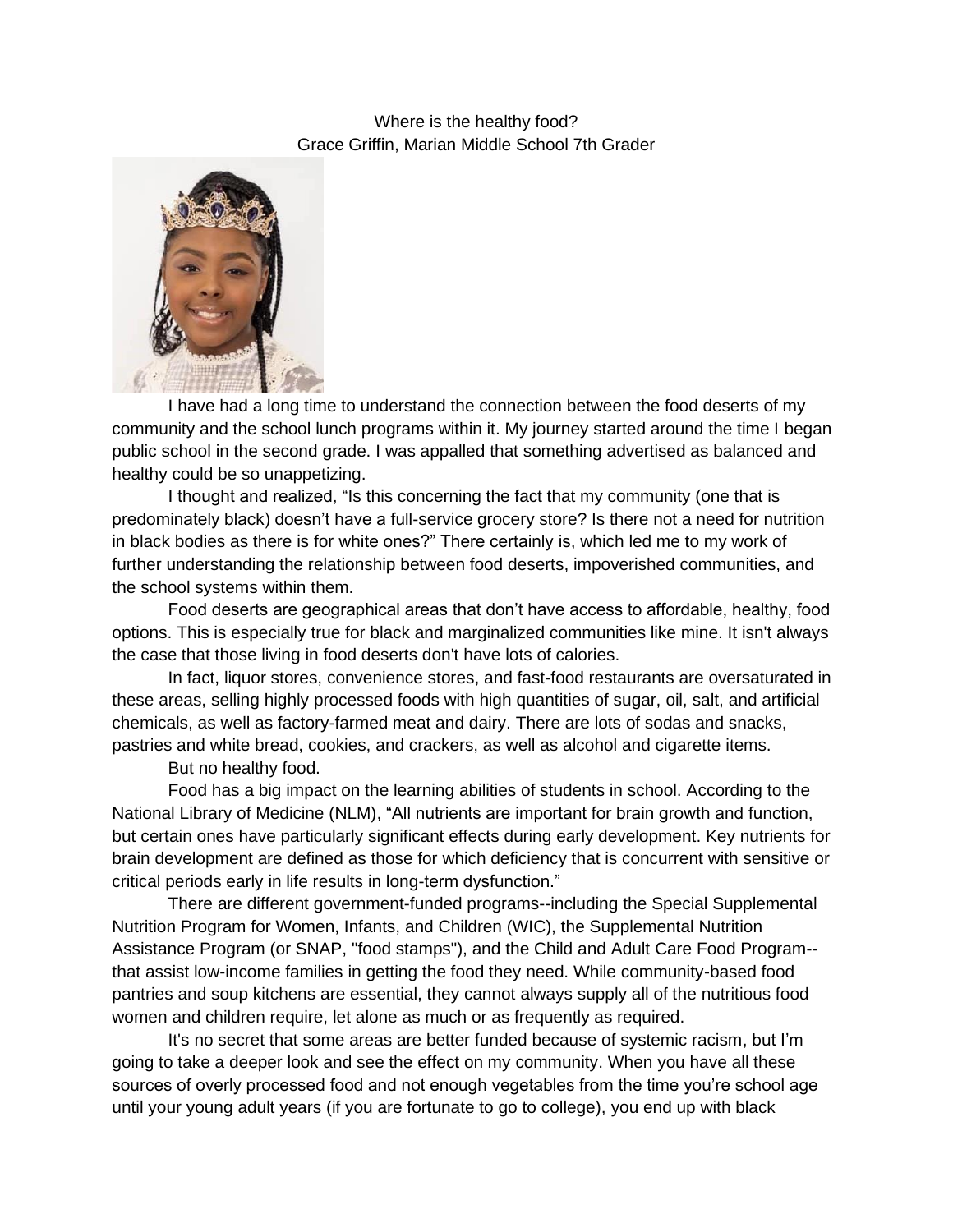Where is the healthy food? Grace Griffin, Marian Middle School 7th Grader



I have had a long time to understand the connection between the food deserts of my community and the school lunch programs within it. My journey started around the time I began public school in the second grade. I was appalled that something advertised as balanced and healthy could be so unappetizing.

I thought and realized, "Is this concerning the fact that my community (one that is predominately black) doesn't have a full-service grocery store? Is there not a need for nutrition in black bodies as there is for white ones?" There certainly is, which led me to my work of further understanding the relationship between food deserts, impoverished communities, and the school systems within them.

Food deserts are geographical areas that don't have access to affordable, healthy, food options. This is especially true for black and marginalized communities like mine. It isn't always the case that those living in food deserts don't have lots of calories.

In fact, liquor stores, convenience stores, and fast-food restaurants are oversaturated in these areas, selling highly processed foods with high quantities of sugar, oil, salt, and artificial chemicals, as well as factory-farmed meat and dairy. There are lots of sodas and snacks, pastries and white bread, cookies, and crackers, as well as alcohol and cigarette items.

But no healthy food.

Food has a big impact on the learning abilities of students in school. According to the National Library of Medicine (NLM), "All nutrients are important for brain growth and function, but certain ones have particularly significant effects during early development. Key nutrients for brain development are defined as those for which deficiency that is concurrent with sensitive or critical periods early in life results in long-term dysfunction."

There are different government-funded programs--including the Special Supplemental Nutrition Program for Women, Infants, and Children (WIC), the Supplemental Nutrition Assistance Program (or SNAP, "food stamps"), and the Child and Adult Care Food Program- that assist low-income families in getting the food they need. While community-based food pantries and soup kitchens are essential, they cannot always supply all of the nutritious food women and children require, let alone as much or as frequently as required.

It's no secret that some areas are better funded because of systemic racism, but I'm going to take a deeper look and see the effect on my community. When you have all these sources of overly processed food and not enough vegetables from the time you're school age until your young adult years (if you are fortunate to go to college), you end up with black